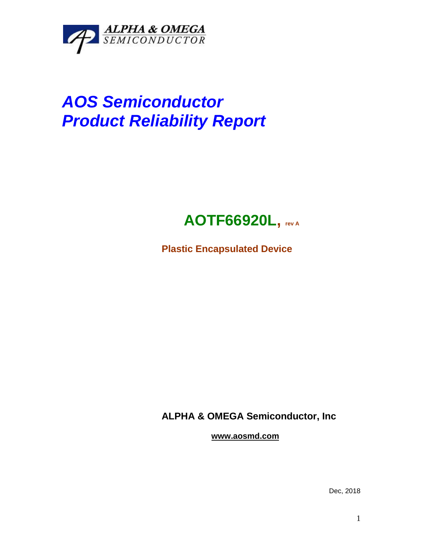

# *AOS Semiconductor Product Reliability Report*

# **AOTF66920L, rev <sup>A</sup>**

**Plastic Encapsulated Device**

**ALPHA & OMEGA Semiconductor, Inc**

**www.aosmd.com**

Dec, 2018